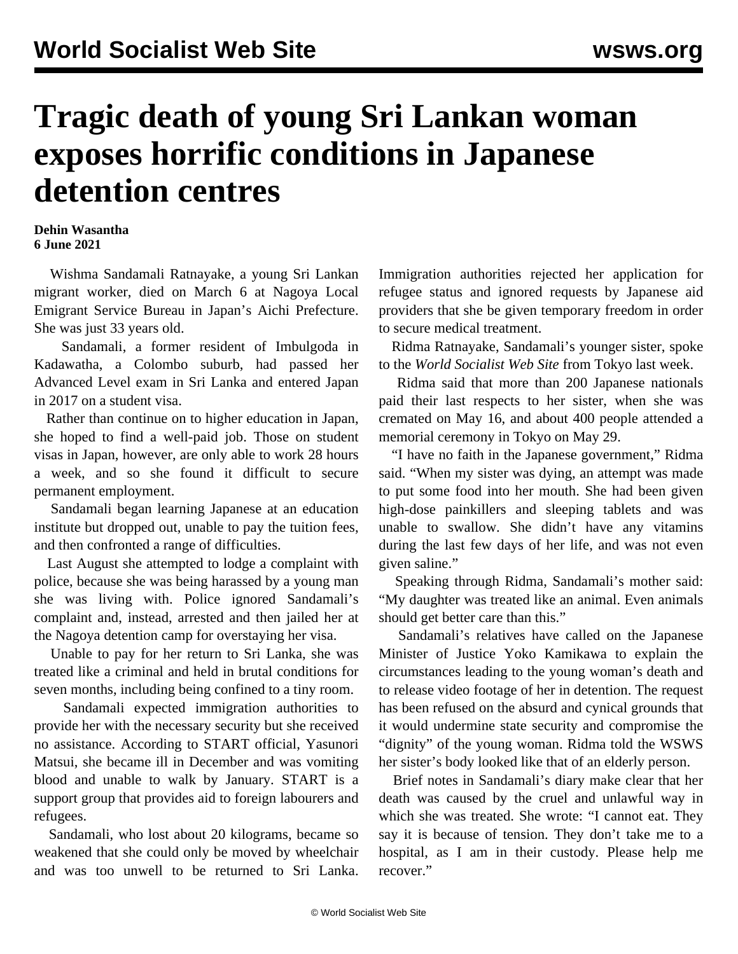## **Tragic death of young Sri Lankan woman exposes horrific conditions in Japanese detention centres**

## **Dehin Wasantha 6 June 2021**

 Wishma Sandamali Ratnayake, a young Sri Lankan migrant worker, died on March 6 at Nagoya Local Emigrant Service Bureau in Japan's Aichi Prefecture. She was just 33 years old.

 Sandamali, a former resident of Imbulgoda in Kadawatha, a Colombo suburb, had passed her Advanced Level exam in Sri Lanka and entered Japan in 2017 on a student visa.

 Rather than continue on to higher education in Japan, she hoped to find a well-paid job. Those on student visas in Japan, however, are only able to work 28 hours a week, and so she found it difficult to secure permanent employment.

 Sandamali began learning Japanese at an education institute but dropped out, unable to pay the tuition fees, and then confronted a range of difficulties.

 Last August she attempted to lodge a complaint with police, because she was being harassed by a young man she was living with. Police ignored Sandamali's complaint and, instead, arrested and then jailed her at the Nagoya detention camp for overstaying her visa.

 Unable to pay for her return to Sri Lanka, she was treated like a criminal and held in brutal conditions for seven months, including being confined to a tiny room.

 Sandamali expected immigration authorities to provide her with the necessary security but she received no assistance. According to START official, Yasunori Matsui, she became ill in December and was vomiting blood and unable to walk by January. START is a support group that provides aid to foreign labourers and refugees.

 Sandamali, who lost about 20 kilograms, became so weakened that she could only be moved by wheelchair and was too unwell to be returned to Sri Lanka.

Immigration authorities rejected her application for refugee status and ignored requests by Japanese aid providers that she be given temporary freedom in order to secure medical treatment.

 Ridma Ratnayake, Sandamali's younger sister, spoke to the *World Socialist Web Site* from Tokyo last week.

 Ridma said that more than 200 Japanese nationals paid their last respects to her sister, when she was cremated on May 16, and about 400 people attended a memorial ceremony in Tokyo on May 29.

 "I have no faith in the Japanese government," Ridma said. "When my sister was dying, an attempt was made to put some food into her mouth. She had been given high-dose painkillers and sleeping tablets and was unable to swallow. She didn't have any vitamins during the last few days of her life, and was not even given saline."

 Speaking through Ridma, Sandamali's mother said: "My daughter was treated like an animal. Even animals should get better care than this."

 Sandamali's relatives have called on the Japanese Minister of Justice Yoko Kamikawa to explain the circumstances leading to the young woman's death and to release video footage of her in detention. The request has been refused on the absurd and cynical grounds that it would undermine state security and compromise the "dignity" of the young woman. Ridma told the WSWS her sister's body looked like that of an elderly person.

 Brief notes in Sandamali's diary make clear that her death was caused by the cruel and unlawful way in which she was treated. She wrote: "I cannot eat. They say it is because of tension. They don't take me to a hospital, as I am in their custody. Please help me recover."